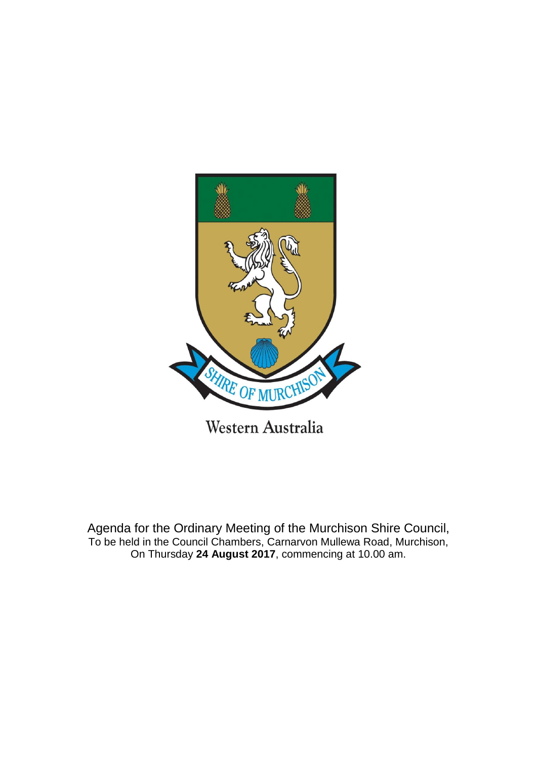

Agenda for the Ordinary Meeting of the Murchison Shire Council, To be held in the Council Chambers, Carnarvon Mullewa Road, Murchison,

On Thursday **24 August 2017**, commencing at 10.00 am.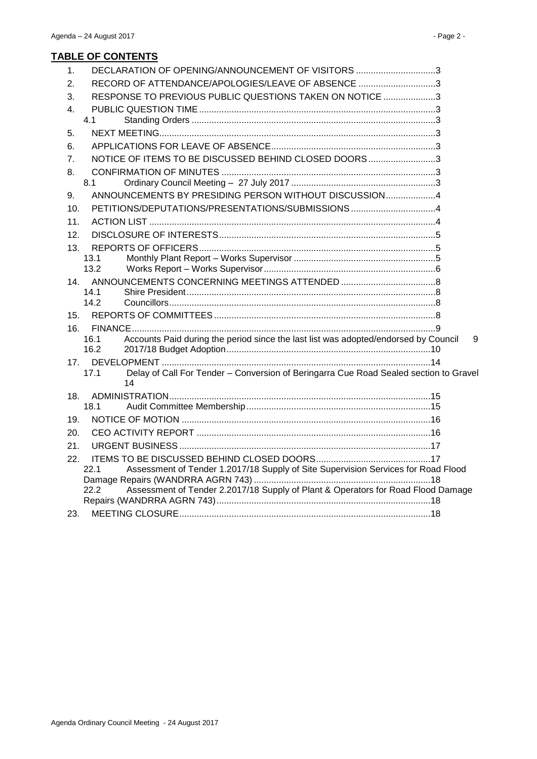| 1.              | DECLARATION OF OPENING/ANNOUNCEMENT OF VISITORS 3                                                   |   |
|-----------------|-----------------------------------------------------------------------------------------------------|---|
| 2.              | RECORD OF ATTENDANCE/APOLOGIES/LEAVE OF ABSENCE 3                                                   |   |
| 3.              | RESPONSE TO PREVIOUS PUBLIC QUESTIONS TAKEN ON NOTICE 3                                             |   |
| 4.              |                                                                                                     |   |
|                 | 4.1                                                                                                 |   |
| 5.              |                                                                                                     |   |
| 6.              |                                                                                                     |   |
| 7.              | NOTICE OF ITEMS TO BE DISCUSSED BEHIND CLOSED DOORS3                                                |   |
| 8.              |                                                                                                     |   |
|                 | 8.1                                                                                                 |   |
| 9.              | ANNOUNCEMENTS BY PRESIDING PERSON WITHOUT DISCUSSION4                                               |   |
| 10.             | PETITIONS/DEPUTATIONS/PRESENTATIONS/SUBMISSIONS 4                                                   |   |
| 11.             |                                                                                                     |   |
| 12.             |                                                                                                     |   |
| 13.             |                                                                                                     |   |
|                 | 13.1                                                                                                |   |
|                 | 13.2                                                                                                |   |
| 14 <sub>1</sub> |                                                                                                     |   |
|                 | 14.1<br>14.2                                                                                        |   |
| 15.             |                                                                                                     |   |
|                 |                                                                                                     |   |
| 16.             | Accounts Paid during the period since the last list was adopted/endorsed by Council<br>16.1         | 9 |
|                 | 16.2                                                                                                |   |
|                 |                                                                                                     |   |
|                 | Delay of Call For Tender - Conversion of Beringarra Cue Road Sealed section to Gravel<br>17.1<br>14 |   |
| 18.             |                                                                                                     |   |
|                 | 18.1                                                                                                |   |
| 19.             |                                                                                                     |   |
| 20.             |                                                                                                     |   |
| 21.             |                                                                                                     |   |
| 22.             |                                                                                                     |   |
|                 | Assessment of Tender 1.2017/18 Supply of Site Supervision Services for Road Flood<br>22.1           |   |
|                 | Assessment of Tender 2.2017/18 Supply of Plant & Operators for Road Flood Damage<br>22.2            |   |
|                 |                                                                                                     |   |
| 23.             |                                                                                                     |   |
|                 |                                                                                                     |   |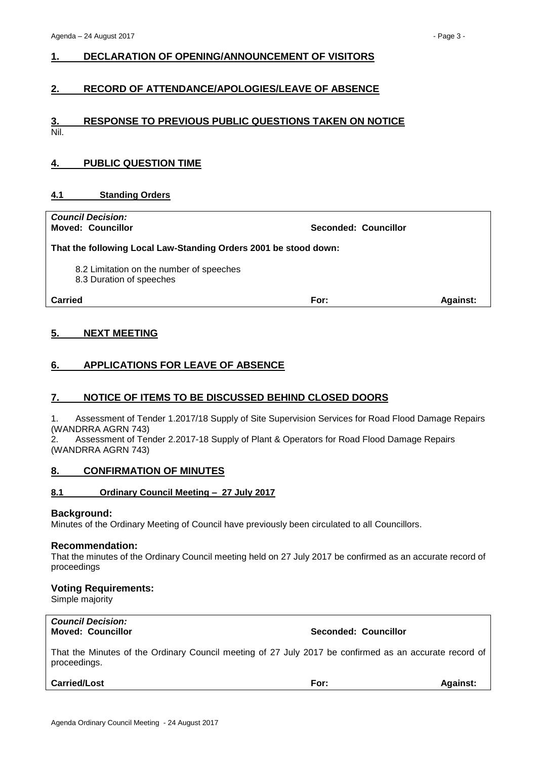# <span id="page-2-0"></span>**1. DECLARATION OF OPENING/ANNOUNCEMENT OF VISITORS**

# <span id="page-2-1"></span>**2. RECORD OF ATTENDANCE/APOLOGIES/LEAVE OF ABSENCE**

# <span id="page-2-2"></span>**3. RESPONSE TO PREVIOUS PUBLIC QUESTIONS TAKEN ON NOTICE** Nil.

# <span id="page-2-3"></span>**4. PUBLIC QUESTION TIME**

## <span id="page-2-4"></span>**4.1 Standing Orders**

| <b>Council Decision:</b><br><b>Moved: Councillor</b>                 | Seconded: Councillor |                 |
|----------------------------------------------------------------------|----------------------|-----------------|
| That the following Local Law-Standing Orders 2001 be stood down:     |                      |                 |
| 8.2 Limitation on the number of speeches<br>8.3 Duration of speeches |                      |                 |
| Carried                                                              | For:                 | <b>Against:</b> |
|                                                                      |                      |                 |

# <span id="page-2-5"></span>**5. NEXT MEETING**

# <span id="page-2-6"></span>**6. APPLICATIONS FOR LEAVE OF ABSENCE**

# <span id="page-2-7"></span>**7. NOTICE OF ITEMS TO BE DISCUSSED BEHIND CLOSED DOORS**

1. Assessment of Tender 1.2017/18 Supply of Site Supervision Services for Road Flood Damage Repairs (WANDRRA AGRN 743)

2. Assessment of Tender 2.2017-18 Supply of Plant & Operators for Road Flood Damage Repairs (WANDRRA AGRN 743)

# <span id="page-2-8"></span>**8. CONFIRMATION OF MINUTES**

#### <span id="page-2-9"></span>**8.1 Ordinary Council Meeting – 27 July 2017**

#### **Background:**

Minutes of the Ordinary Meeting of Council have previously been circulated to all Councillors.

#### **Recommendation:**

That the minutes of the Ordinary Council meeting held on 27 July 2017 be confirmed as an accurate record of proceedings

#### **Voting Requirements:**

Simple majority

| <b>Council Decision:</b> |
|--------------------------|
| <b>Moved: Councillor</b> |

**Moved: Councillor Seconded: Councillor**

That the Minutes of the Ordinary Council meeting of 27 July 2017 be confirmed as an accurate record of proceedings.

**Carried/Lost For: Against:**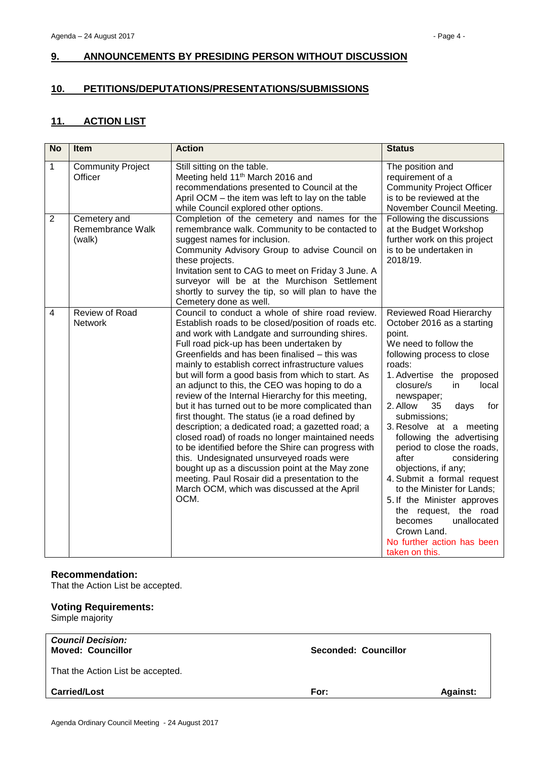# <span id="page-3-0"></span>**9. ANNOUNCEMENTS BY PRESIDING PERSON WITHOUT DISCUSSION**

# <span id="page-3-1"></span>**10. PETITIONS/DEPUTATIONS/PRESENTATIONS/SUBMISSIONS**

# <span id="page-3-2"></span>**11. ACTION LIST**

| <b>No</b>    | <b>Item</b>                                | <b>Action</b>                                                                                                                                                                                                                                                                                                                                                                                                                                                                                                                                                                                                                                                                                                                                                                                                                                                                                                                                             | <b>Status</b>                                                                                                                                                                                                                                                                                                                                                                                                                                                                                                                                                                                              |
|--------------|--------------------------------------------|-----------------------------------------------------------------------------------------------------------------------------------------------------------------------------------------------------------------------------------------------------------------------------------------------------------------------------------------------------------------------------------------------------------------------------------------------------------------------------------------------------------------------------------------------------------------------------------------------------------------------------------------------------------------------------------------------------------------------------------------------------------------------------------------------------------------------------------------------------------------------------------------------------------------------------------------------------------|------------------------------------------------------------------------------------------------------------------------------------------------------------------------------------------------------------------------------------------------------------------------------------------------------------------------------------------------------------------------------------------------------------------------------------------------------------------------------------------------------------------------------------------------------------------------------------------------------------|
| $\mathbf{1}$ | <b>Community Project</b><br>Officer        | Still sitting on the table.<br>Meeting held 11 <sup>th</sup> March 2016 and<br>recommendations presented to Council at the<br>April OCM – the item was left to lay on the table<br>while Council explored other options.                                                                                                                                                                                                                                                                                                                                                                                                                                                                                                                                                                                                                                                                                                                                  | The position and<br>requirement of a<br><b>Community Project Officer</b><br>is to be reviewed at the<br>November Council Meeting.                                                                                                                                                                                                                                                                                                                                                                                                                                                                          |
| 2            | Cemetery and<br>Remembrance Walk<br>(walk) | Completion of the cemetery and names for the<br>remembrance walk. Community to be contacted to<br>suggest names for inclusion.<br>Community Advisory Group to advise Council on<br>these projects.<br>Invitation sent to CAG to meet on Friday 3 June. A<br>surveyor will be at the Murchison Settlement<br>shortly to survey the tip, so will plan to have the<br>Cemetery done as well.                                                                                                                                                                                                                                                                                                                                                                                                                                                                                                                                                                 | Following the discussions<br>at the Budget Workshop<br>further work on this project<br>is to be undertaken in<br>2018/19.                                                                                                                                                                                                                                                                                                                                                                                                                                                                                  |
| 4            | Review of Road<br><b>Network</b>           | Council to conduct a whole of shire road review.<br>Establish roads to be closed/position of roads etc.<br>and work with Landgate and surrounding shires.<br>Full road pick-up has been undertaken by<br>Greenfields and has been finalised - this was<br>mainly to establish correct infrastructure values<br>but will form a good basis from which to start. As<br>an adjunct to this, the CEO was hoping to do a<br>review of the Internal Hierarchy for this meeting,<br>but it has turned out to be more complicated than<br>first thought. The status (ie a road defined by<br>description; a dedicated road; a gazetted road; a<br>closed road) of roads no longer maintained needs<br>to be identified before the Shire can progress with<br>this. Undesignated unsurveyed roads were<br>bought up as a discussion point at the May zone<br>meeting. Paul Rosair did a presentation to the<br>March OCM, which was discussed at the April<br>OCM. | Reviewed Road Hierarchy<br>October 2016 as a starting<br>point.<br>We need to follow the<br>following process to close<br>roads:<br>1. Advertise the proposed<br>local<br>closure/s<br>in<br>newspaper;<br>2. Allow<br>for<br>35<br>days<br>submissions;<br>3. Resolve at a meeting<br>following the advertising<br>period to close the roads,<br>after<br>considering<br>objections, if any;<br>4. Submit a formal request<br>to the Minister for Lands;<br>5. If the Minister approves<br>the request, the road<br>unallocated<br>becomes<br>Crown Land.<br>No further action has been<br>taken on this. |

# **Recommendation:**

That the Action List be accepted.

# **Voting Requirements:**

Simple majority

| <b>Council Decision:</b><br><b>Moved: Councillor</b> | Seconded: Councillor |                 |
|------------------------------------------------------|----------------------|-----------------|
| That the Action List be accepted.                    |                      |                 |
| <b>Carried/Lost</b>                                  | For:                 | <b>Against:</b> |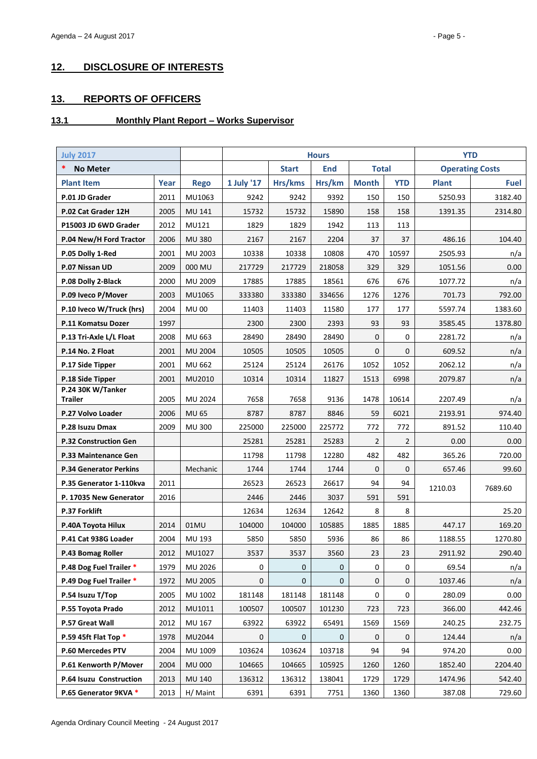# <span id="page-4-0"></span>**12. DISCLOSURE OF INTERESTS**

# <span id="page-4-1"></span>**13. REPORTS OF OFFICERS**

# <span id="page-4-2"></span>**13.1 Monthly Plant Report – Works Supervisor**

| <b>July 2017</b>                    |      |                |            |              | <b>Hours</b> |                |                | <b>YTD</b>             |             |
|-------------------------------------|------|----------------|------------|--------------|--------------|----------------|----------------|------------------------|-------------|
| *<br><b>No Meter</b>                |      |                |            | <b>Start</b> | <b>End</b>   | <b>Total</b>   |                | <b>Operating Costs</b> |             |
| <b>Plant Item</b>                   | Year | <b>Rego</b>    | 1 July '17 | Hrs/kms      | Hrs/km       | <b>Month</b>   | <b>YTD</b>     | <b>Plant</b>           | <b>Fuel</b> |
| P.01 JD Grader                      | 2011 | MU1063         | 9242       | 9242         | 9392         | 150            | 150            | 5250.93                | 3182.40     |
| P.02 Cat Grader 12H                 | 2005 | MU 141         | 15732      | 15732        | 15890        | 158            | 158            | 1391.35                | 2314.80     |
| P15003 JD 6WD Grader                | 2012 | MU121          | 1829       | 1829         | 1942         | 113            | 113            |                        |             |
| P.04 New/H Ford Tractor             | 2006 | <b>MU380</b>   | 2167       | 2167         | 2204         | 37             | 37             | 486.16                 | 104.40      |
| P.05 Dolly 1-Red                    | 2001 | MU 2003        | 10338      | 10338        | 10808        | 470            | 10597          | 2505.93                | n/a         |
| P.07 Nissan UD                      | 2009 | 000 MU         | 217729     | 217729       | 218058       | 329            | 329            | 1051.56                | 0.00        |
| P.08 Dolly 2-Black                  | 2000 | MU 2009        | 17885      | 17885        | 18561        | 676            | 676            | 1077.72                | n/a         |
| P.09 Iveco P/Mover                  | 2003 | MU1065         | 333380     | 333380       | 334656       | 1276           | 1276           | 701.73                 | 792.00      |
| P.10 Iveco W/Truck (hrs)            | 2004 | <b>MU 00</b>   | 11403      | 11403        | 11580        | 177            | 177            | 5597.74                | 1383.60     |
| P.11 Komatsu Dozer                  | 1997 |                | 2300       | 2300         | 2393         | 93             | 93             | 3585.45                | 1378.80     |
| P.13 Tri-Axle L/L Float             | 2008 | MU 663         | 28490      | 28490        | 28490        | 0              | 0              | 2281.72                | n/a         |
| P.14 No. 2 Float                    | 2001 | MU 2004        | 10505      | 10505        | 10505        | $\Omega$       | 0              | 609.52                 | n/a         |
| P.17 Side Tipper                    | 2001 | MU 662         | 25124      | 25124        | 26176        | 1052           | 1052           | 2062.12                | n/a         |
| P.18 Side Tipper                    | 2001 | MU2010         | 10314      | 10314        | 11827        | 1513           | 6998           | 2079.87                | n/a         |
| P.24 30K W/Tanker<br><b>Trailer</b> | 2005 | MU 2024        | 7658       | 7658         | 9136         | 1478           | 10614          | 2207.49                | n/a         |
| P.27 Volvo Loader                   | 2006 | <b>MU 65</b>   | 8787       | 8787         | 8846         | 59             | 6021           | 2193.91                | 974.40      |
| P.28 Isuzu Dmax                     | 2009 | <b>MU 300</b>  | 225000     | 225000       | 225772       | 772            | 772            | 891.52                 | 110.40      |
| <b>P.32 Construction Gen</b>        |      |                | 25281      | 25281        | 25283        | $\overline{2}$ | $\overline{2}$ | 0.00                   | 0.00        |
| <b>P.33 Maintenance Gen</b>         |      |                | 11798      | 11798        | 12280        | 482            | 482            | 365.26                 | 720.00      |
| <b>P.34 Generator Perkins</b>       |      | Mechanic       | 1744       | 1744         | 1744         | $\mathbf{0}$   | $\mathbf{0}$   | 657.46                 | 99.60       |
| P.35 Generator 1-110kva             | 2011 |                | 26523      | 26523        | 26617        | 94             | 94             | 1210.03                | 7689.60     |
| P. 17035 New Generator              | 2016 |                | 2446       | 2446         | 3037         | 591            | 591            |                        |             |
| <b>P.37 Forklift</b>                |      |                | 12634      | 12634        | 12642        | 8              | 8              |                        | 25.20       |
| P.40A Toyota Hilux                  | 2014 | 01MU           | 104000     | 104000       | 105885       | 1885           | 1885           | 447.17                 | 169.20      |
| P.41 Cat 938G Loader                | 2004 | MU 193         | 5850       | 5850         | 5936         | 86             | 86             | 1188.55                | 1270.80     |
| P.43 Bomag Roller                   | 2012 | MU1027         | 3537       | 3537         | 3560         | 23             | 23             | 2911.92                | 290.40      |
| P.48 Dog Fuel Trailer *             | 1979 | MU 2026        | 0          | 0            | 0            | 0              | 0              | 69.54                  | n/a         |
| P.49 Dog Fuel Trailer *             | 1972 | <b>MU 2005</b> | 0          | 0            | 0            | 0              | 0              | 1037.46                | n/a         |
| P.54 Isuzu T/Top                    | 2005 | MU 1002        | 181148     | 181148       | 181148       | 0              | 0              | 280.09                 | 0.00        |
| P.55 Toyota Prado                   | 2012 | MU1011         | 100507     | 100507       | 101230       | 723            | 723            | 366.00                 | 442.46      |
| P.57 Great Wall                     | 2012 | MU 167         | 63922      | 63922        | 65491        | 1569           | 1569           | 240.25                 | 232.75      |
| P.59 45ft Flat Top *                | 1978 | MU2044         | 0          | 0            | 0            | 0              | 0              | 124.44                 | n/a         |
| P.60 Mercedes PTV                   | 2004 | MU 1009        | 103624     | 103624       | 103718       | 94             | 94             | 974.20                 | 0.00        |
| P.61 Kenworth P/Mover               | 2004 | <b>MU 000</b>  | 104665     | 104665       | 105925       | 1260           | 1260           | 1852.40                | 2204.40     |
| P.64 Isuzu Construction             | 2013 | MU 140         | 136312     | 136312       | 138041       | 1729           | 1729           | 1474.96                | 542.40      |
| P.65 Generator 9KVA *               | 2013 | H/ Maint       | 6391       | 6391         | 7751         | 1360           | 1360           | 387.08                 | 729.60      |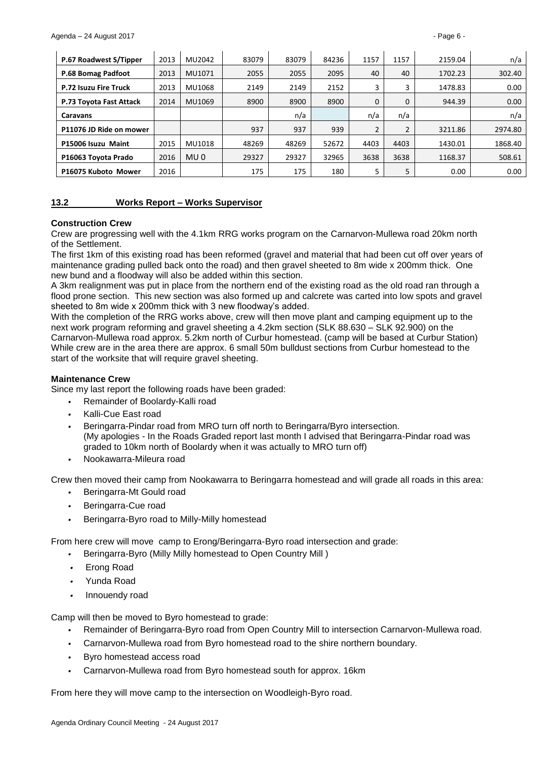| P.67 Roadwest S/Tipper       | 2013 | MU2042          | 83079 | 83079 | 84236 | 1157 | 1157 | 2159.04 | n/a     |
|------------------------------|------|-----------------|-------|-------|-------|------|------|---------|---------|
| P.68 Bomag Padfoot           | 2013 | MU1071          | 2055  | 2055  | 2095  | 40   | 40   | 1702.23 | 302.40  |
| <b>P.72 Isuzu Fire Truck</b> | 2013 | MU1068          | 2149  | 2149  | 2152  |      | 3    | 1478.83 | 0.00    |
| P.73 Toyota Fast Attack      | 2014 | MU1069          | 8900  | 8900  | 8900  | 0    | 0    | 944.39  | 0.00    |
| <b>Caravans</b>              |      |                 |       | n/a   |       | n/a  | n/a  |         | n/a     |
| P11076 JD Ride on mower      |      |                 | 937   | 937   | 939   |      |      | 3211.86 | 2974.80 |
| P15006 Isuzu Maint           | 2015 | MU1018          | 48269 | 48269 | 52672 | 4403 | 4403 | 1430.01 | 1868.40 |
| P16063 Toyota Prado          | 2016 | MU <sub>0</sub> | 29327 | 29327 | 32965 | 3638 | 3638 | 1168.37 | 508.61  |
| P16075 Kuboto Mower          | 2016 |                 | 175   | 175   | 180   |      | 5    | 0.00    | 0.00    |

#### <span id="page-5-0"></span>**13.2 Works Report – Works Supervisor**

#### **Construction Crew**

Crew are progressing well with the 4.1km RRG works program on the Carnarvon-Mullewa road 20km north of the Settlement.

The first 1km of this existing road has been reformed (gravel and material that had been cut off over years of maintenance grading pulled back onto the road) and then gravel sheeted to 8m wide x 200mm thick. One new bund and a floodway will also be added within this section.

A 3km realignment was put in place from the northern end of the existing road as the old road ran through a flood prone section. This new section was also formed up and calcrete was carted into low spots and gravel sheeted to 8m wide x 200mm thick with 3 new floodway's added.

With the completion of the RRG works above, crew will then move plant and camping equipment up to the next work program reforming and gravel sheeting a 4.2km section (SLK 88.630 – SLK 92.900) on the Carnarvon-Mullewa road approx. 5.2km north of Curbur homestead. (camp will be based at Curbur Station) While crew are in the area there are approx. 6 small 50m bulldust sections from Curbur homestead to the start of the worksite that will require gravel sheeting.

#### **Maintenance Crew**

Since my last report the following roads have been graded:

- *•* Remainder of Boolardy-Kalli road
- *•* Kalli-Cue East road
- *•* Beringarra-Pindar road from MRO turn off north to Beringarra/Byro intersection. (My apologies - In the Roads Graded report last month I advised that Beringarra-Pindar road was graded to 10km north of Boolardy when it was actually to MRO turn off)
- *•* Nookawarra-Mileura road

Crew then moved their camp from Nookawarra to Beringarra homestead and will grade all roads in this area:

- *•* Beringarra-Mt Gould road
- *•* Beringarra-Cue road
- *•* Beringarra-Byro road to Milly-Milly homestead

From here crew will move camp to Erong/Beringarra-Byro road intersection and grade:

- *•* Beringarra-Byro (Milly Milly homestead to Open Country Mill )
- *•* Erong Road
- *•* Yunda Road
- *•* Innouendy road

Camp will then be moved to Byro homestead to grade:

- *•* Remainder of Beringarra-Byro road from Open Country Mill to intersection Carnarvon-Mullewa road.
- *•* Carnarvon-Mullewa road from Byro homestead road to the shire northern boundary.
- *•* Byro homestead access road
- *•* Carnarvon-Mullewa road from Byro homestead south for approx. 16km

From here they will move camp to the intersection on Woodleigh-Byro road.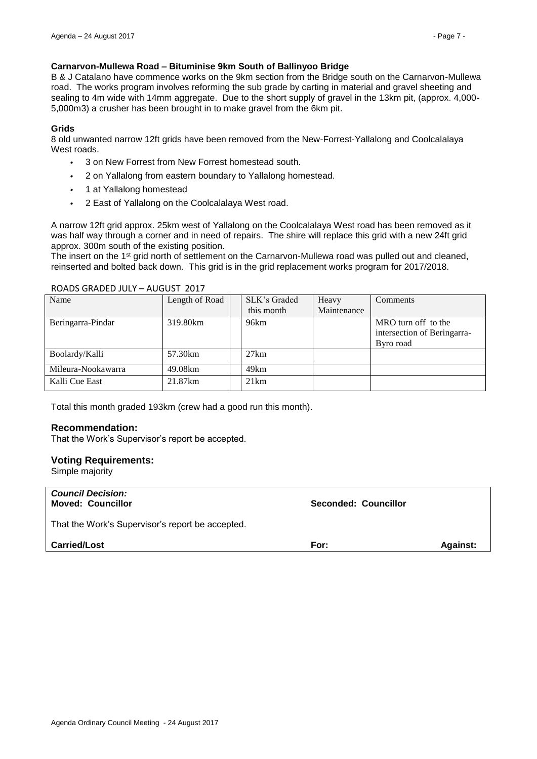## **Carnarvon-Mullewa Road – Bituminise 9km South of Ballinyoo Bridge**

B & J Catalano have commence works on the 9km section from the Bridge south on the Carnarvon-Mullewa road. The works program involves reforming the sub grade by carting in material and gravel sheeting and sealing to 4m wide with 14mm aggregate. Due to the short supply of gravel in the 13km pit, (approx. 4,000- 5,000m3) a crusher has been brought in to make gravel from the 6km pit.

## **Grids**

8 old unwanted narrow 12ft grids have been removed from the New-Forrest-Yallalong and Coolcalalaya West roads.

- *•* 3 on New Forrest from New Forrest homestead south.
- *•* 2 on Yallalong from eastern boundary to Yallalong homestead.
- *•* 1 at Yallalong homestead
- *•* 2 East of Yallalong on the Coolcalalaya West road.

A narrow 12ft grid approx. 25km west of Yallalong on the Coolcalalaya West road has been removed as it was half way through a corner and in need of repairs. The shire will replace this grid with a new 24ft grid approx. 300m south of the existing position.

The insert on the 1<sup>st</sup> grid north of settlement on the Carnarvon-Mullewa road was pulled out and cleaned, reinserted and bolted back down. This grid is in the grid replacement works program for 2017/2018.

#### ROADS GRADED JULY – AUGUST 2017

| Name               | Length of Road | SLK's Graded | Heavy       | Comments                                           |
|--------------------|----------------|--------------|-------------|----------------------------------------------------|
|                    |                | this month   | Maintenance |                                                    |
| Beringarra-Pindar  | 319.80km       | 96km         |             | MRO turn off to the<br>intersection of Beringarra- |
|                    |                |              |             | Byro road                                          |
| Boolardy/Kalli     | 57.30km        | 27km         |             |                                                    |
| Mileura-Nookawarra | 49.08km        | 49km         |             |                                                    |
| Kalli Cue East     | 21.87km        | 21km         |             |                                                    |

Total this month graded 193km (crew had a good run this month).

## **Recommendation:**

That the Work's Supervisor's report be accepted.

## **Voting Requirements:**

Simple majority

| <b>Council Decision:</b><br><b>Moved: Councillor</b> | <b>Seconded: Councillor</b> |                 |
|------------------------------------------------------|-----------------------------|-----------------|
| That the Work's Supervisor's report be accepted.     |                             |                 |
| <b>Carried/Lost</b>                                  | For:                        | <b>Against:</b> |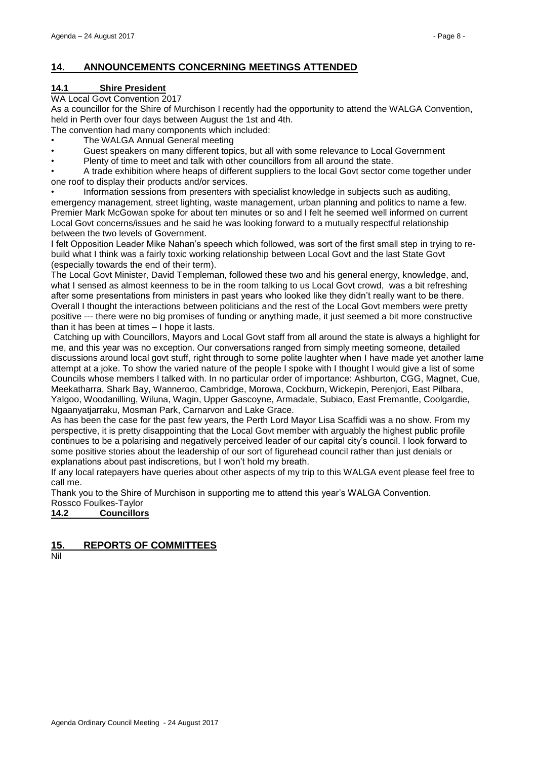# <span id="page-7-0"></span>**14. ANNOUNCEMENTS CONCERNING MEETINGS ATTENDED**

# <span id="page-7-1"></span>**14.1 Shire President**

## WA Local Govt Convention 2017

As a councillor for the Shire of Murchison I recently had the opportunity to attend the WALGA Convention, held in Perth over four days between August the 1st and 4th.

The convention had many components which included:

- The WALGA Annual General meeting
- Guest speakers on many different topics, but all with some relevance to Local Government
- Plenty of time to meet and talk with other councillors from all around the state.

• A trade exhibition where heaps of different suppliers to the local Govt sector come together under one roof to display their products and/or services.

• Information sessions from presenters with specialist knowledge in subjects such as auditing, emergency management, street lighting, waste management, urban planning and politics to name a few. Premier Mark McGowan spoke for about ten minutes or so and I felt he seemed well informed on current Local Govt concerns/issues and he said he was looking forward to a mutually respectful relationship between the two levels of Government.

I felt Opposition Leader Mike Nahan's speech which followed, was sort of the first small step in trying to rebuild what I think was a fairly toxic working relationship between Local Govt and the last State Govt (especially towards the end of their term).

The Local Govt Minister, David Templeman, followed these two and his general energy, knowledge, and, what I sensed as almost keenness to be in the room talking to us Local Govt crowd, was a bit refreshing after some presentations from ministers in past years who looked like they didn't really want to be there. Overall I thought the interactions between politicians and the rest of the Local Govt members were pretty positive --- there were no big promises of funding or anything made, it just seemed a bit more constructive than it has been at times – I hope it lasts.

Catching up with Councillors, Mayors and Local Govt staff from all around the state is always a highlight for me, and this year was no exception. Our conversations ranged from simply meeting someone, detailed discussions around local govt stuff, right through to some polite laughter when I have made yet another lame attempt at a joke. To show the varied nature of the people I spoke with I thought I would give a list of some Councils whose members I talked with. In no particular order of importance: Ashburton, CGG, Magnet, Cue, Meekatharra, Shark Bay, Wanneroo, Cambridge, Morowa, Cockburn, Wickepin, Perenjori, East Pilbara, Yalgoo, Woodanilling, Wiluna, Wagin, Upper Gascoyne, Armadale, Subiaco, East Fremantle, Coolgardie, Ngaanyatjarraku, Mosman Park, Carnarvon and Lake Grace.

As has been the case for the past few years, the Perth Lord Mayor Lisa Scaffidi was a no show. From my perspective, it is pretty disappointing that the Local Govt member with arguably the highest public profile continues to be a polarising and negatively perceived leader of our capital city's council. I look forward to some positive stories about the leadership of our sort of figurehead council rather than just denials or explanations about past indiscretions, but I won't hold my breath.

If any local ratepayers have queries about other aspects of my trip to this WALGA event please feel free to call me.

Thank you to the Shire of Murchison in supporting me to attend this year's WALGA Convention. Rossco Foulkes-Taylor

<span id="page-7-2"></span>**14.2 Councillors**

<span id="page-7-3"></span>**15. REPORTS OF COMMITTEES**

Nil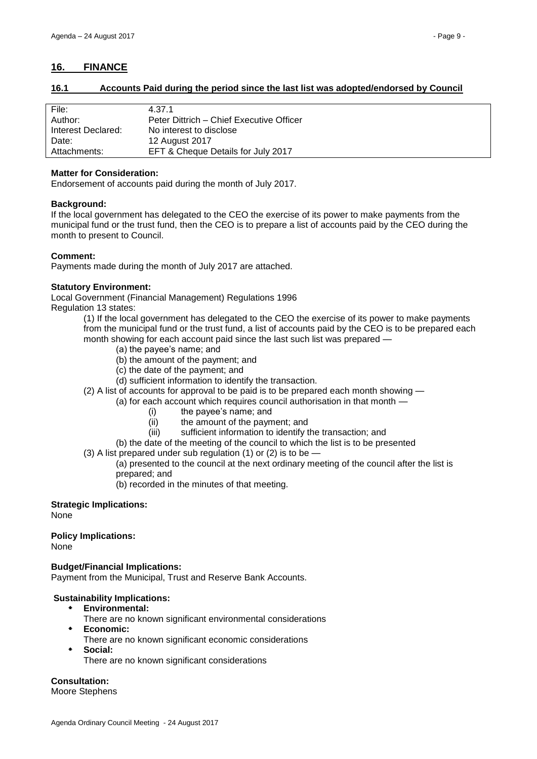# <span id="page-8-1"></span><span id="page-8-0"></span>**16.1 Accounts Paid during the period since the last list was adopted/endorsed by Council**

| File:              | 4.37.1                                   |
|--------------------|------------------------------------------|
| Author:            | Peter Dittrich – Chief Executive Officer |
| Interest Declared: | No interest to disclose                  |
| Date:              | 12 August 2017                           |
| Attachments:       | EFT & Cheque Details for July 2017       |

## **Matter for Consideration:**

Endorsement of accounts paid during the month of July 2017.

#### **Background:**

If the local government has delegated to the CEO the exercise of its power to make payments from the municipal fund or the trust fund, then the CEO is to prepare a list of accounts paid by the CEO during the month to present to Council.

## **Comment:**

Payments made during the month of July 2017 are attached.

## **Statutory Environment:**

Local Government (Financial Management) Regulations 1996 Regulation 13 states:

> (1) If the local government has delegated to the CEO the exercise of its power to make payments from the municipal fund or the trust fund, a list of accounts paid by the CEO is to be prepared each month showing for each account paid since the last such list was prepared —

- (a) the payee's name; and
- (b) the amount of the payment; and
- (c) the date of the payment; and
- (d) sufficient information to identify the transaction.
- (2) A list of accounts for approval to be paid is to be prepared each month showing
	- (a) for each account which requires council authorisation in that month
		- (i) the payee's name; and
		- (ii) the amount of the payment; and
		- (iii) sufficient information to identify the transaction; and
		- (b) the date of the meeting of the council to which the list is to be presented
- $(3)$  A list prepared under sub regulation  $(1)$  or  $(2)$  is to be

(a) presented to the council at the next ordinary meeting of the council after the list is prepared; and

(b) recorded in the minutes of that meeting.

## **Strategic Implications:**

None

# **Policy Implications:**

None

# **Budget/Financial Implications:**

Payment from the Municipal, Trust and Reserve Bank Accounts.

## **Sustainability Implications:**

- **Environmental:**
	- There are no known significant environmental considerations
- **Economic:**
	- There are no known significant economic considerations
- **Social:** There are no known significant considerations

# **Consultation:**

Moore Stephens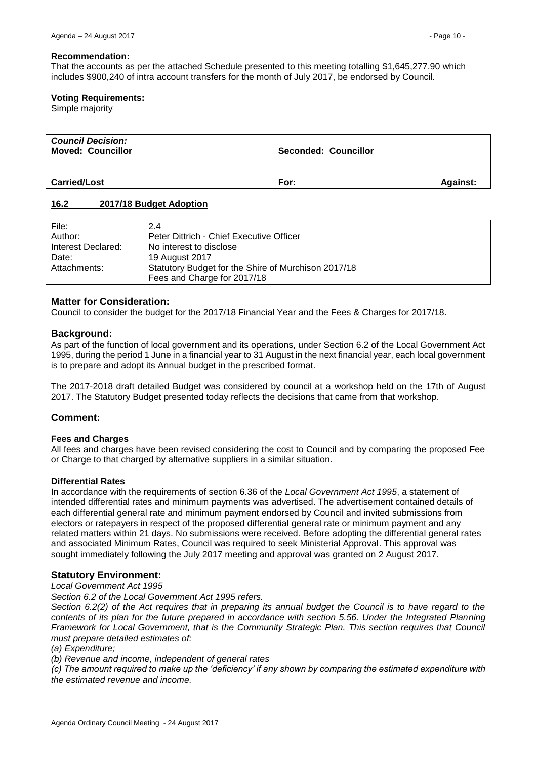#### **Recommendation:**

That the accounts as per the attached Schedule presented to this meeting totalling \$1,645,277.90 which includes \$900,240 of intra account transfers for the month of July 2017, be endorsed by Council.

#### **Voting Requirements:**

Simple majority

| <b>Council Decision:</b><br><b>Moved: Councillor</b> | Seconded: Councillor |                 |
|------------------------------------------------------|----------------------|-----------------|
| <b>Carried/Lost</b>                                  | For:                 | <b>Against:</b> |

## <span id="page-9-0"></span>**16.2 2017/18 Budget Adoption**

| File:              | 2.4                                                 |
|--------------------|-----------------------------------------------------|
| Author:            | Peter Dittrich - Chief Executive Officer            |
| Interest Declared: | No interest to disclose                             |
| Date:              | 19 August 2017                                      |
| Attachments:       | Statutory Budget for the Shire of Murchison 2017/18 |
|                    | Fees and Charge for 2017/18                         |

#### **Matter for Consideration:**

Council to consider the budget for the 2017/18 Financial Year and the Fees & Charges for 2017/18.

#### **Background:**

As part of the function of local government and its operations, under Section 6.2 of the Local Government Act 1995, during the period 1 June in a financial year to 31 August in the next financial year, each local government is to prepare and adopt its Annual budget in the prescribed format.

The 2017-2018 draft detailed Budget was considered by council at a workshop held on the 17th of August 2017. The Statutory Budget presented today reflects the decisions that came from that workshop.

## **Comment:**

#### **Fees and Charges**

All fees and charges have been revised considering the cost to Council and by comparing the proposed Fee or Charge to that charged by alternative suppliers in a similar situation.

#### **Differential Rates**

In accordance with the requirements of section 6.36 of the *Local Government Act 1995*, a statement of intended differential rates and minimum payments was advertised. The advertisement contained details of each differential general rate and minimum payment endorsed by Council and invited submissions from electors or ratepayers in respect of the proposed differential general rate or minimum payment and any related matters within 21 days. No submissions were received. Before adopting the differential general rates and associated Minimum Rates, Council was required to seek Ministerial Approval. This approval was sought immediately following the July 2017 meeting and approval was granted on 2 August 2017.

## **Statutory Environment:**

#### *Local Government Act 1995*

*Section 6.2 of the Local Government Act 1995 refers.*

*Section 6.2(2) of the Act requires that in preparing its annual budget the Council is to have regard to the contents of its plan for the future prepared in accordance with section 5.56. Under the Integrated Planning Framework for Local Government, that is the Community Strategic Plan. This section requires that Council must prepare detailed estimates of:*

*(a) Expenditure;*

*(b) Revenue and income, independent of general rates*

*(c) The amount required to make up the 'deficiency' if any shown by comparing the estimated expenditure with the estimated revenue and income.*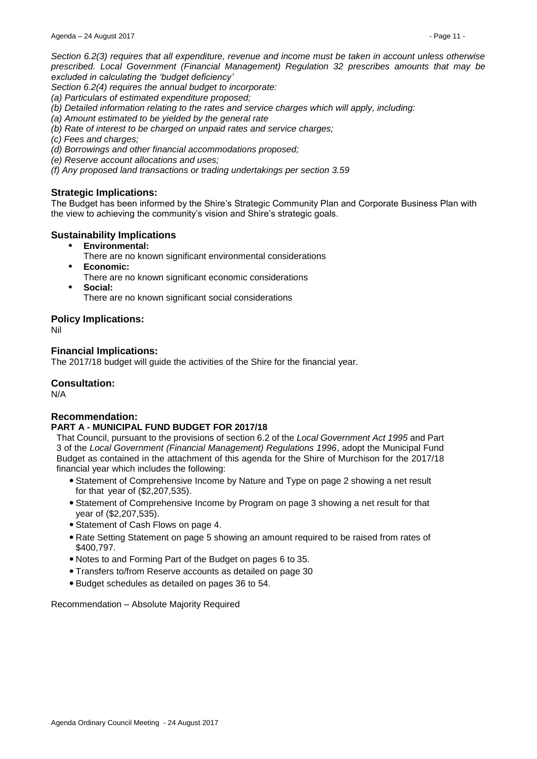*Section 6.2(3) requires that all expenditure, revenue and income must be taken in account unless otherwise prescribed. Local Government (Financial Management) Regulation 32 prescribes amounts that may be excluded in calculating the 'budget deficiency'*

*Section 6.2(4) requires the annual budget to incorporate:*

- *(a) Particulars of estimated expenditure proposed;*
- *(b) Detailed information relating to the rates and service charges which will apply, including:*
- *(a) Amount estimated to be yielded by the general rate*
- *(b) Rate of interest to be charged on unpaid rates and service charges;*
- *(c) Fees and charges;*
- *(d) Borrowings and other financial accommodations proposed;*
- *(e) Reserve account allocations and uses;*
- *(f) Any proposed land transactions or trading undertakings per section 3.59*

## **Strategic Implications:**

The Budget has been informed by the Shire's Strategic Community Plan and Corporate Business Plan with the view to achieving the community's vision and Shire's strategic goals.

## **Sustainability Implications**

- **Environmental:**
	- There are no known significant environmental considerations
- **Economic:**
	- There are no known significant economic considerations
- **Social:** There are no known significant social considerations

## **Policy Implications:**

Nil

## **Financial Implications:**

The 2017/18 budget will guide the activities of the Shire for the financial year.

## **Consultation:**

N/A

## **Recommendation:**

## **PART A - MUNICIPAL FUND BUDGET FOR 2017/18**

That Council, pursuant to the provisions of section 6.2 of the *Local Government Act 1995* and Part 3 of the *Local Government (Financial Management) Regulations 1996*, adopt the Municipal Fund Budget as contained in the attachment of this agenda for the Shire of Murchison for the 2017/18 financial year which includes the following:

- Statement of Comprehensive Income by Nature and Type on page 2 showing a net result for that year of (\$2,207,535).
- Statement of Comprehensive Income by Program on page 3 showing a net result for that year of (\$2,207,535).
- Statement of Cash Flows on page 4.
- Rate Setting Statement on page 5 showing an amount required to be raised from rates of \$400,797.
- Notes to and Forming Part of the Budget on pages 6 to 35.
- Transfers to/from Reserve accounts as detailed on page 30
- Budget schedules as detailed on pages 36 to 54.

#### Recommendation – Absolute Majority Required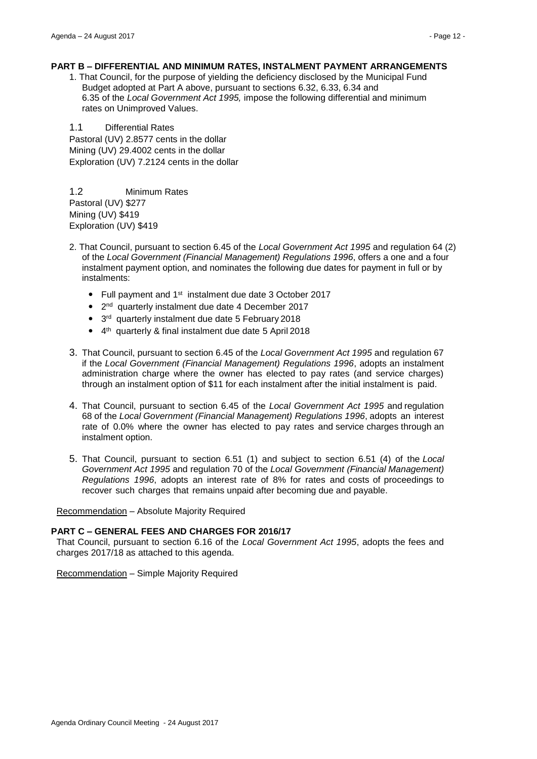#### **PART B – DIFFERENTIAL AND MINIMUM RATES, INSTALMENT PAYMENT ARRANGEMENTS**

1. That Council, for the purpose of yielding the deficiency disclosed by the Municipal Fund Budget adopted at Part A above, pursuant to sections 6.32, 6.33, 6.34 and 6.35 of the *Local Government Act 1995,* impose the following differential and minimum rates on Unimproved Values.

1.1 Differential Rates Pastoral (UV) 2.8577 cents in the dollar Mining (UV) 29.4002 cents in the dollar Exploration (UV) 7.2124 cents in the dollar

1.2 Minimum Rates Pastoral (UV) \$277 Mining (UV) \$419 Exploration (UV) \$419

- 2. That Council, pursuant to section 6.45 of the *Local Government Act 1995* and regulation 64 (2) of the *Local Government (Financial Management) Regulations 1996*, offers a one and a four instalment payment option, and nominates the following due dates for payment in full or by instalments:
	- Full payment and 1<sup>st</sup> instalment due date 3 October 2017
	- 2<sup>nd</sup> quarterly instalment due date 4 December 2017
	- 3<sup>rd</sup> quarterly instalment due date 5 February 2018
	- 4<sup>th</sup> quarterly & final instalment due date 5 April 2018
- 3. That Council, pursuant to section 6.45 of the *Local Government Act 1995* and regulation 67 if the *Local Government (Financial Management) Regulations 1996*, adopts an instalment administration charge where the owner has elected to pay rates (and service charges) through an instalment option of \$11 for each instalment after the initial instalment is paid.
- 4. That Council, pursuant to section 6.45 of the *Local Government Act 1995* and regulation 68 of the *Local Government (Financial Management) Regulations 1996*, adopts an interest rate of 0.0% where the owner has elected to pay rates and service charges through an instalment option.
- 5. That Council, pursuant to section 6.51 (1) and subject to section 6.51 (4) of the *Local Government Act 1995* and regulation 70 of the *Local Government (Financial Management) Regulations 1996*, adopts an interest rate of 8% for rates and costs of proceedings to recover such charges that remains unpaid after becoming due and payable.

Recommendation – Absolute Majority Required

#### **PART C – GENERAL FEES AND CHARGES FOR 2016/17**

That Council, pursuant to section 6.16 of the *Local Government Act 1995*, adopts the fees and charges 2017/18 as attached to this agenda.

Recommendation – Simple Majority Required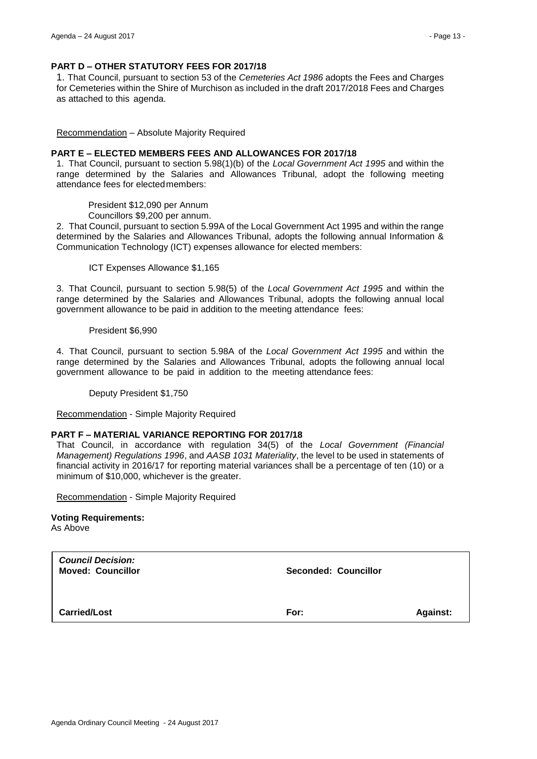#### **PART D – OTHER STATUTORY FEES FOR 2017/18**

1. That Council, pursuant to section 53 of the *Cemeteries Act 1986* adopts the Fees and Charges for Cemeteries within the Shire of Murchison as included in the draft 2017/2018 Fees and Charges as attached to this agenda.

Recommendation – Absolute Majority Required

#### **PART E – ELECTED MEMBERS FEES AND ALLOWANCES FOR 2017/18**

1. That Council, pursuant to section 5.98(1)(b) of the *Local Government Act 1995* and within the range determined by the Salaries and Allowances Tribunal, adopt the following meeting attendance fees for electedmembers:

President \$12,090 per Annum

Councillors \$9,200 per annum.

2. That Council, pursuant to section 5.99A of the Local Government Act 1995 and within the range determined by the Salaries and Allowances Tribunal, adopts the following annual Information & Communication Technology (ICT) expenses allowance for elected members:

ICT Expenses Allowance \$1,165

3. That Council, pursuant to section 5.98(5) of the *Local Government Act 1995* and within the range determined by the Salaries and Allowances Tribunal, adopts the following annual local government allowance to be paid in addition to the meeting attendance fees:

President \$6,990

4. That Council, pursuant to section 5.98A of the *Local Government Act 1995* and within the range determined by the Salaries and Allowances Tribunal, adopts the following annual local government allowance to be paid in addition to the meeting attendance fees:

Deputy President \$1,750

Recommendation - Simple Majority Required

#### **PART F – MATERIAL VARIANCE REPORTING FOR 2017/18**

That Council, in accordance with regulation 34(5) of the *Local Government (Financial Management) Regulations 1996*, and *AASB 1031 Materiality*, the level to be used in statements of financial activity in 2016/17 for reporting material variances shall be a percentage of ten (10) or a minimum of \$10,000, whichever is the greater.

Recommendation - Simple Majority Required

#### **Voting Requirements:**

As Above

| <b>Council Decision:</b><br><b>Moved: Councillor</b> | <b>Seconded: Councillor</b> |                 |
|------------------------------------------------------|-----------------------------|-----------------|
| <b>Carried/Lost</b>                                  | For:                        | <b>Against:</b> |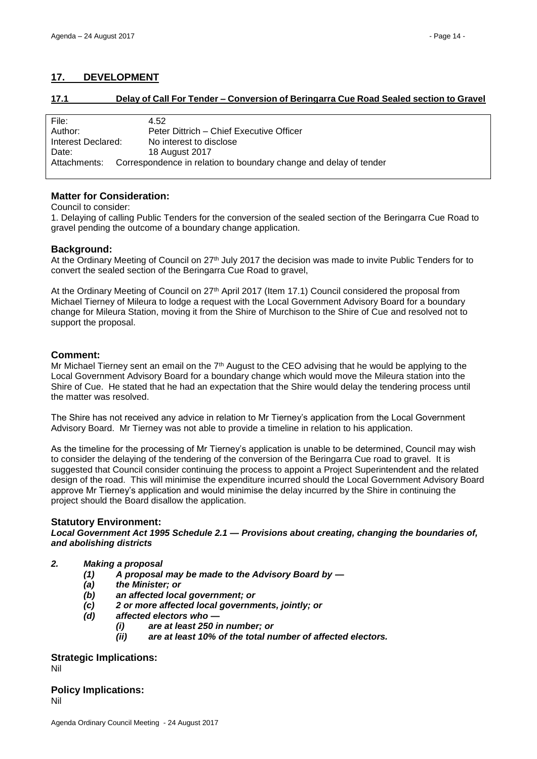# <span id="page-13-0"></span>**17. DEVELOPMENT**

<span id="page-13-1"></span>

**17.1 Delay of Call For Tender – Conversion of Beringarra Cue Road Sealed section to Gravel**

| File:              | 4.52                                                              |
|--------------------|-------------------------------------------------------------------|
|                    |                                                                   |
| Author:            | Peter Dittrich – Chief Executive Officer                          |
|                    |                                                                   |
| Interest Declared: | No interest to disclose                                           |
|                    |                                                                   |
| Date:              | 18 August 2017                                                    |
|                    |                                                                   |
| Attachments:       | Correspondence in relation to boundary change and delay of tender |
|                    |                                                                   |

# **Matter for Consideration:**

#### Council to consider:

1. Delaying of calling Public Tenders for the conversion of the sealed section of the Beringarra Cue Road to gravel pending the outcome of a boundary change application.

# **Background:**

At the Ordinary Meeting of Council on 27<sup>th</sup> July 2017 the decision was made to invite Public Tenders for to convert the sealed section of the Beringarra Cue Road to gravel,

At the Ordinary Meeting of Council on 27th April 2017 (Item 17.1) Council considered the proposal from Michael Tierney of Mileura to lodge a request with the Local Government Advisory Board for a boundary change for Mileura Station, moving it from the Shire of Murchison to the Shire of Cue and resolved not to support the proposal.

# **Comment:**

Mr Michael Tierney sent an email on the  $7<sup>th</sup>$  August to the CEO advising that he would be applying to the Local Government Advisory Board for a boundary change which would move the Mileura station into the Shire of Cue. He stated that he had an expectation that the Shire would delay the tendering process until the matter was resolved.

The Shire has not received any advice in relation to Mr Tierney's application from the Local Government Advisory Board. Mr Tierney was not able to provide a timeline in relation to his application.

As the timeline for the processing of Mr Tierney's application is unable to be determined, Council may wish to consider the delaying of the tendering of the conversion of the Beringarra Cue road to gravel. It is suggested that Council consider continuing the process to appoint a Project Superintendent and the related design of the road. This will minimise the expenditure incurred should the Local Government Advisory Board approve Mr Tierney's application and would minimise the delay incurred by the Shire in continuing the project should the Board disallow the application.

## **Statutory Environment:**

*Local Government Act 1995 Schedule 2.1 — Provisions about creating, changing the boundaries of, and abolishing districts*

## *2. Making a proposal*

- *(1) A proposal may be made to the Advisory Board by —*
- *(a) the Minister; or*
- *(b) an affected local government; or*
- *(c) 2 or more affected local governments, jointly; or*
- *(d) affected electors who —*
	- *(i) are at least 250 in number; or*
		- *(ii) are at least 10% of the total number of affected electors.*

## **Strategic Implications:** Nil

**Policy Implications:**  Nil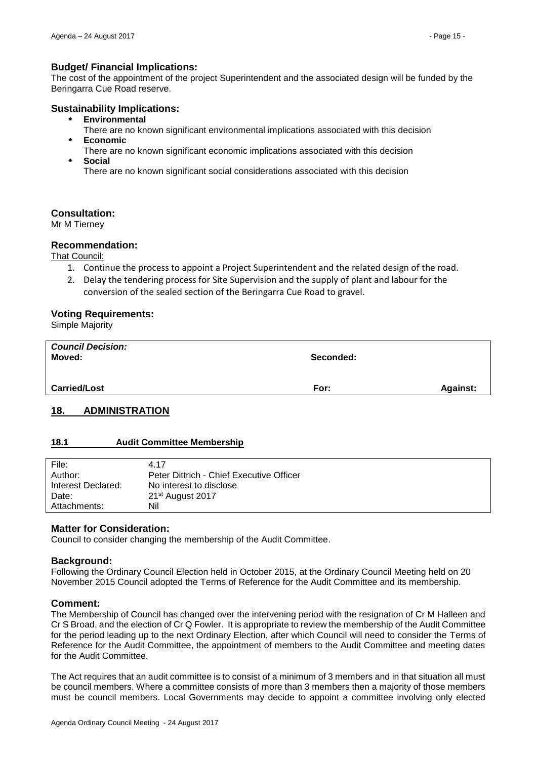# **Budget/ Financial Implications:**

The cost of the appointment of the project Superintendent and the associated design will be funded by the Beringarra Cue Road reserve.

## **Sustainability Implications:**

- **Environmental**
- There are no known significant environmental implications associated with this decision **Economic**
- There are no known significant economic implications associated with this decision **Social**

There are no known significant social considerations associated with this decision

## **Consultation:**

Mr M Tierney

## **Recommendation:**

That Council:

- 1. Continue the process to appoint a Project Superintendent and the related design of the road.
- 2. Delay the tendering process for Site Supervision and the supply of plant and labour for the conversion of the sealed section of the Beringarra Cue Road to gravel.

## **Voting Requirements:**

Simple Majority

| <b>Council Decision:</b><br>Moved: | Seconded: |                 |
|------------------------------------|-----------|-----------------|
| <b>Carried/Lost</b>                | For:      | <b>Against:</b> |

# <span id="page-14-0"></span>**18. ADMINISTRATION**

## <span id="page-14-1"></span>**18.1 Audit Committee Membership**

| File:              | 4.17                                     |
|--------------------|------------------------------------------|
| Author:            | Peter Dittrich - Chief Executive Officer |
| Interest Declared: | No interest to disclose                  |
| Date:              | $21st$ August 2017                       |
| Attachments:       | Nil                                      |

## **Matter for Consideration:**

Council to consider changing the membership of the Audit Committee.

## **Background:**

Following the Ordinary Council Election held in October 2015, at the Ordinary Council Meeting held on 20 November 2015 Council adopted the Terms of Reference for the Audit Committee and its membership.

#### **Comment:**

The Membership of Council has changed over the intervening period with the resignation of Cr M Halleen and Cr S Broad, and the election of Cr Q Fowler. It is appropriate to review the membership of the Audit Committee for the period leading up to the next Ordinary Election, after which Council will need to consider the Terms of Reference for the Audit Committee, the appointment of members to the Audit Committee and meeting dates for the Audit Committee.

The Act requires that an audit committee is to consist of a minimum of 3 members and in that situation all must be council members. Where a committee consists of more than 3 members then a majority of those members must be council members. Local Governments may decide to appoint a committee involving only elected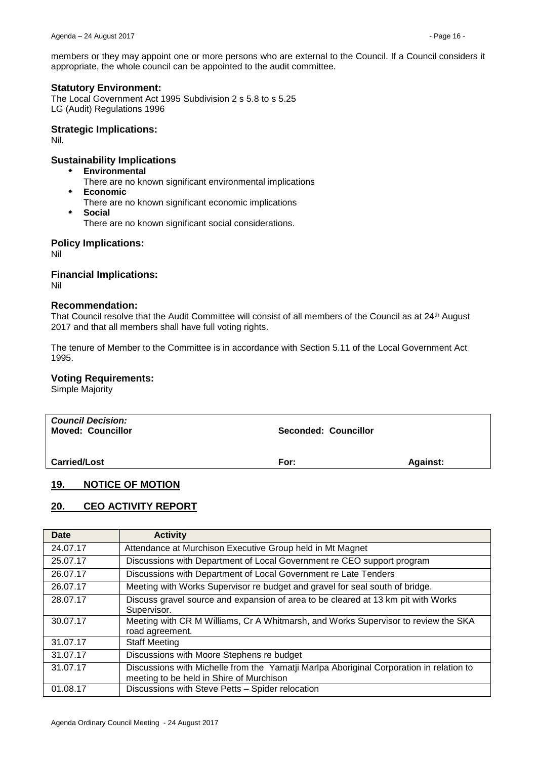members or they may appoint one or more persons who are external to the Council. If a Council considers it appropriate, the whole council can be appointed to the audit committee.

# **Statutory Environment:**

The Local Government Act 1995 Subdivision 2 s 5.8 to s 5.25 LG (Audit) Regulations 1996

#### **Strategic Implications:**

Nil.

# **Sustainability Implications**

- **Environmental** 
	- There are no known significant environmental implications
- **Economic**
- There are no known significant economic implications
- **Social**

There are no known significant social considerations.

## **Policy Implications:**

Nil

# **Financial Implications:**

Nil

## **Recommendation:**

That Council resolve that the Audit Committee will consist of all members of the Council as at 24<sup>th</sup> August 2017 and that all members shall have full voting rights.

The tenure of Member to the Committee is in accordance with Section 5.11 of the Local Government Act 1995.

# **Voting Requirements:**

Simple Majority

| <b>Council Decision:</b><br><b>Moved: Councillor</b> | Seconded: Councillor |                 |
|------------------------------------------------------|----------------------|-----------------|
| <b>Carried/Lost</b>                                  | For:                 | <b>Against:</b> |

## <span id="page-15-0"></span>**19. NOTICE OF MOTION**

# <span id="page-15-1"></span>**20. CEO ACTIVITY REPORT**

| <b>Date</b> | <b>Activity</b>                                                                                                                     |
|-------------|-------------------------------------------------------------------------------------------------------------------------------------|
| 24.07.17    | Attendance at Murchison Executive Group held in Mt Magnet                                                                           |
| 25.07.17    | Discussions with Department of Local Government re CEO support program                                                              |
| 26.07.17    | Discussions with Department of Local Government re Late Tenders                                                                     |
| 26.07.17    | Meeting with Works Supervisor re budget and gravel for seal south of bridge.                                                        |
| 28.07.17    | Discuss gravel source and expansion of area to be cleared at 13 km pit with Works<br>Supervisor.                                    |
| 30.07.17    | Meeting with CR M Williams, Cr A Whitmarsh, and Works Supervisor to review the SKA<br>road agreement.                               |
| 31.07.17    | <b>Staff Meeting</b>                                                                                                                |
| 31.07.17    | Discussions with Moore Stephens re budget                                                                                           |
| 31.07.17    | Discussions with Michelle from the Yamatji Marlpa Aboriginal Corporation in relation to<br>meeting to be held in Shire of Murchison |
| 01.08.17    | Discussions with Steve Petts - Spider relocation                                                                                    |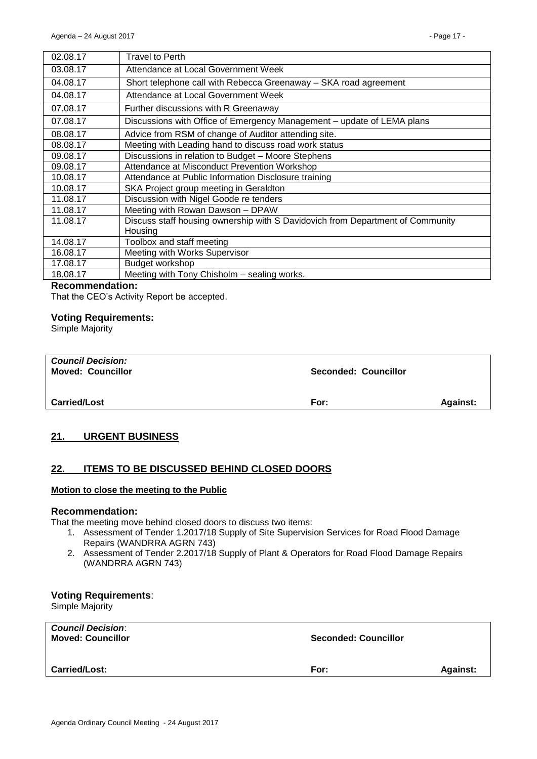| 02.08.17 | <b>Travel to Perth</b>                                                         |
|----------|--------------------------------------------------------------------------------|
| 03.08.17 | Attendance at Local Government Week                                            |
| 04.08.17 | Short telephone call with Rebecca Greenaway - SKA road agreement               |
| 04.08.17 | Attendance at Local Government Week                                            |
| 07.08.17 | Further discussions with R Greenaway                                           |
| 07.08.17 | Discussions with Office of Emergency Management - update of LEMA plans         |
| 08.08.17 | Advice from RSM of change of Auditor attending site.                           |
| 08.08.17 | Meeting with Leading hand to discuss road work status                          |
| 09.08.17 | Discussions in relation to Budget - Moore Stephens                             |
| 09.08.17 | Attendance at Misconduct Prevention Workshop                                   |
| 10.08.17 | Attendance at Public Information Disclosure training                           |
| 10.08.17 | SKA Project group meeting in Geraldton                                         |
| 11.08.17 | Discussion with Nigel Goode re tenders                                         |
| 11.08.17 | Meeting with Rowan Dawson - DPAW                                               |
| 11.08.17 | Discuss staff housing ownership with S Davidovich from Department of Community |
|          | Housing                                                                        |
| 14.08.17 | Toolbox and staff meeting                                                      |
| 16.08.17 | Meeting with Works Supervisor                                                  |
| 17.08.17 | Budget workshop                                                                |
| 18.08.17 | Meeting with Tony Chisholm - sealing works.                                    |

#### **Recommendation:**

That the CEO's Activity Report be accepted.

#### **Voting Requirements:**

Simple Majority

| <b>Council Decision:</b><br><b>Moved: Councillor</b> | <b>Seconded: Councillor</b> |                 |
|------------------------------------------------------|-----------------------------|-----------------|
| <b>Carried/Lost</b>                                  | For:                        | <b>Against:</b> |

# <span id="page-16-0"></span>**21. URGENT BUSINESS**

# <span id="page-16-1"></span>**22. ITEMS TO BE DISCUSSED BEHIND CLOSED DOORS**

#### **Motion to close the meeting to the Public**

#### **Recommendation:**

That the meeting move behind closed doors to discuss two items:

- 1. Assessment of Tender 1.2017/18 Supply of Site Supervision Services for Road Flood Damage Repairs (WANDRRA AGRN 743)
- 2. Assessment of Tender 2.2017/18 Supply of Plant & Operators for Road Flood Damage Repairs (WANDRRA AGRN 743)

## **Voting Requirements**:

Simple Majority

| <b>Carried/Lost:</b> | For: | <b>Against:</b> |
|----------------------|------|-----------------|